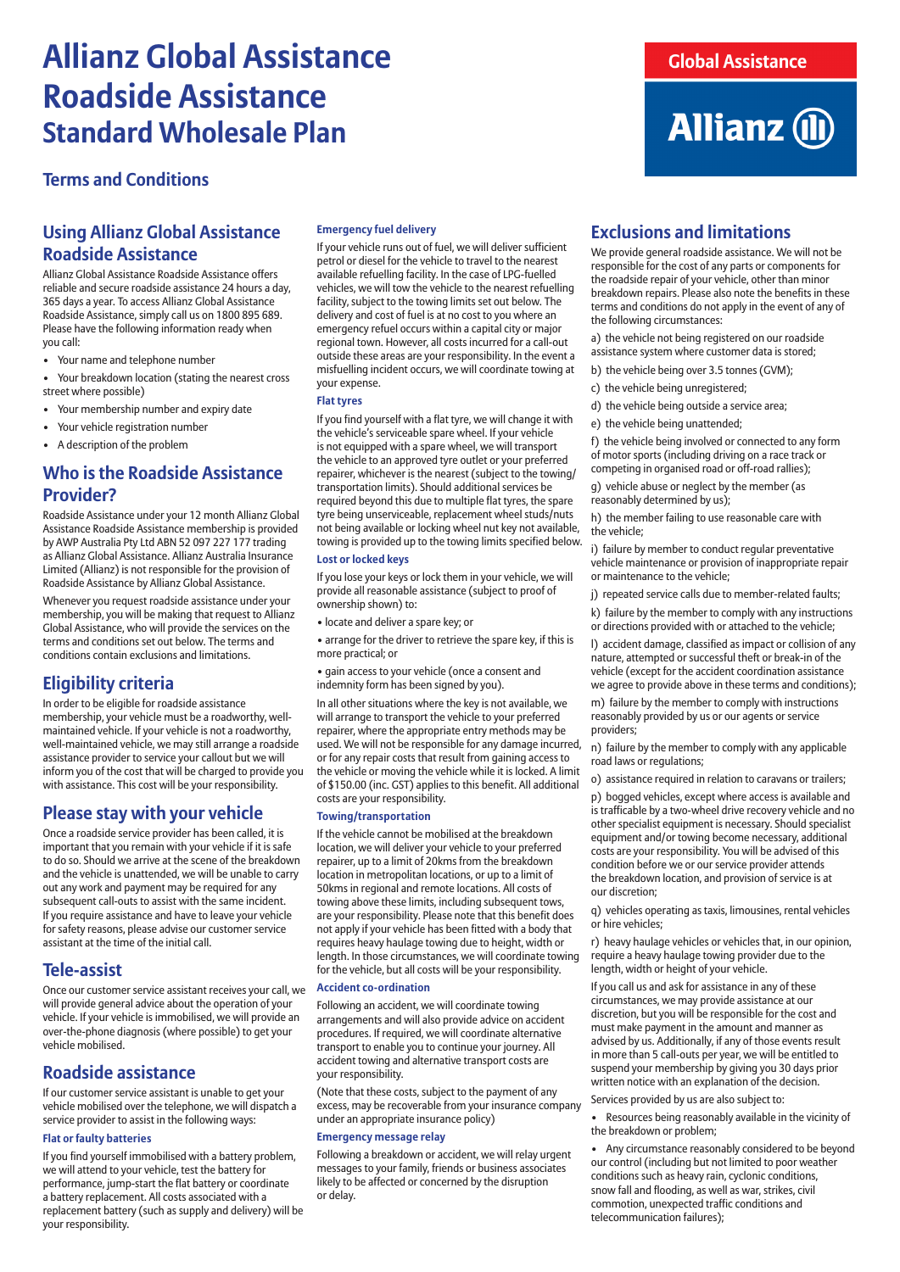## **Allianz Global Assistance Roadside Assistance Standard Wholesale Plan**

## **Terms and Conditions**

## **Using Allianz Global Assistance Roadside Assistance**

Allianz Global Assistance Roadside Assistance offers reliable and secure roadside assistance 24 hours a day, 365 days a year. To access Allianz Global Assistance Roadside Assistance, simply call us on 1800 895 689. Please have the following information ready when you call:

- Your name and telephone number
- Your breakdown location (stating the nearest cross street where possible)
- Your membership number and expiry date
- Your vehicle registration number
- A description of the problem

## **Who is the Roadside Assistance Provider?**

Roadside Assistance under your 12 month Allianz Global Assistance Roadside Assistance membership is provided by AWP Australia Pty Ltd ABN 52 097 227 177 trading as Allianz Global Assistance. Allianz Australia Insurance Limited (Allianz) is not responsible for the provision of Roadside Assistance by Allianz Global Assistance.

Whenever you request roadside assistance under your membership, you will be making that request to Allianz Global Assistance, who will provide the services on the terms and conditions set out below. The terms and conditions contain exclusions and limitations.

## **Eligibility criteria**

In order to be eligible for roadside assistance membership, your vehicle must be a roadworthy, wellmaintained vehicle. If your vehicle is not a roadworthy, well-maintained vehicle, we may still arrange a roadside assistance provider to service your callout but we will inform you of the cost that will be charged to provide you with assistance. This cost will be your responsibility.

## **Please stay with your vehicle**

Once a roadside service provider has been called, it is important that you remain with your vehicle if it is safe to do so. Should we arrive at the scene of the breakdown and the vehicle is unattended, we will be unable to carry out any work and payment may be required for any subsequent call-outs to assist with the same incident. If you require assistance and have to leave your vehicle for safety reasons, please advise our customer service assistant at the time of the initial call.

### **Tele-assist**

Once our customer service assistant receives your call, we will provide general advice about the operation of your vehicle. If your vehicle is immobilised, we will provide an over-the-phone diagnosis (where possible) to get your vehicle mobilised.

## **Roadside assistance**

If our customer service assistant is unable to get your vehicle mobilised over the telephone, we will dispatch a service provider to assist in the following ways:

#### **Flat or faulty batteries**

If you find yourself immobilised with a battery problem, we will attend to your vehicle, test the battery for performance, jump-start the flat battery or coordinate a battery replacement. All costs associated with a replacement battery (such as supply and delivery) will be your responsibility.

#### **Emergency fuel delivery**

If your vehicle runs out of fuel, we will deliver sufficient petrol or diesel for the vehicle to travel to the nearest available refuelling facility. In the case of LPG-fuelled vehicles, we will tow the vehicle to the nearest refuelling facility, subject to the towing limits set out below. The delivery and cost of fuel is at no cost to you where an emergency refuel occurs within a capital city or major regional town. However, all costs incurred for a call-out outside these areas are your responsibility. In the event a misfuelling incident occurs, we will coordinate towing at your expense.

#### **Flat tyres**

If you find yourself with a flat tyre, we will change it with the vehicle's serviceable spare wheel. If your vehicle is not equipped with a spare wheel, we will transport the vehicle to an approved tyre outlet or your preferred repairer, whichever is the nearest (subject to the towing/ transportation limits). Should additional services be required beyond this due to multiple flat tyres, the spare tyre being unserviceable, replacement wheel studs/nuts not being available or locking wheel nut key not available, towing is provided up to the towing limits specified below.

#### **Lost or locked keys**

If you lose your keys or lock them in your vehicle, we will provide all reasonable assistance (subject to proof of ownership shown) to:

• locate and deliver a spare key; or

• arrange for the driver to retrieve the spare key, if this is more practical; or

• gain access to your vehicle (once a consent and indemnity form has been signed by you).

In all other situations where the key is not available, we will arrange to transport the vehicle to your preferred repairer, where the appropriate entry methods may be used. We will not be responsible for any damage incurred, or for any repair costs that result from gaining access to the vehicle or moving the vehicle while it is locked. A limit of \$150.00 (inc. GST) applies to this benefit. All additional costs are your responsibility.

#### **Towing/transportation**

If the vehicle cannot be mobilised at the breakdown location, we will deliver your vehicle to your preferred repairer, up to a limit of 20kms from the breakdown location in metropolitan locations, or up to a limit of 50kms in regional and remote locations. All costs of towing above these limits, including subsequent tows, are your responsibility. Please note that this benefit does not apply if your vehicle has been fitted with a body that requires heavy haulage towing due to height, width or length. In those circumstances, we will coordinate towing for the vehicle, but all costs will be your responsibility.

#### **Accident co-ordination**

Following an accident, we will coordinate towing arrangements and will also provide advice on accident procedures. If required, we will coordinate alternative transport to enable you to continue your journey. All accident towing and alternative transport costs are your responsibility.

(Note that these costs, subject to the payment of any excess, may be recoverable from your insurance company under an appropriate insurance policy)

#### **Emergency message relay**

Following a breakdown or accident, we will relay urgent messages to your family, friends or business associates likely to be affected or concerned by the disruption or delay.

## **Global Assistance**

# **Allianz (ii)**

## **Exclusions and limitations**

We provide general roadside assistance. We will not be responsible for the cost of any parts or components for the roadside repair of your vehicle, other than minor breakdown repairs. Please also note the benefits in these terms and conditions do not apply in the event of any of the following circumstances:

a) the vehicle not being registered on our roadside assistance system where customer data is stored;

- b) the vehicle being over 3.5 tonnes (GVM);
- c) the vehicle being unregistered;
- d) the vehicle being outside a service area;
- e) the vehicle being unattended;

f) the vehicle being involved or connected to any form of motor sports (including driving on a race track or competing in organised road or off-road rallies);

g) vehicle abuse or neglect by the member (as reasonably determined by us);

h) the member failing to use reasonable care with the vehicle;

i) failure by member to conduct regular preventative vehicle maintenance or provision of inappropriate repair or maintenance to the vehicle;

- j) repeated service calls due to member-related faults;
- k) failure by the member to comply with any instructions or directions provided with or attached to the vehicle;

l) accident damage, classified as impact or collision of any nature, attempted or successful theft or break-in of the vehicle (except for the accident coordination assistance we agree to provide above in these terms and conditions);

m) failure by the member to comply with instructions reasonably provided by us or our agents or service providers;

n) failure by the member to comply with any applicable road laws or regulations;

o) assistance required in relation to caravans or trailers; p) bogged vehicles, except where access is available and is trafficable by a two-wheel drive recovery vehicle and no other specialist equipment is necessary. Should specialist

equipment and/or towing become necessary, additional costs are your responsibility. You will be advised of this condition before we or our service provider attends the breakdown location, and provision of service is at our discretion;

q) vehicles operating as taxis, limousines, rental vehicles or hire vehicles;

r) heavy haulage vehicles or vehicles that, in our opinion, require a heavy haulage towing provider due to the length, width or height of your vehicle.

If you call us and ask for assistance in any of these circumstances, we may provide assistance at our discretion, but you will be responsible for the cost and must make payment in the amount and manner as advised by us. Additionally, if any of those events result in more than 5 call-outs per year, we will be entitled to suspend your membership by giving you 30 days prior written notice with an explanation of the decision.

Services provided by us are also subject to:

• Resources being reasonably available in the vicinity of the breakdown or problem;

• Any circumstance reasonably considered to be beyond our control (including but not limited to poor weather conditions such as heavy rain, cyclonic conditions, snow fall and flooding, as well as war, strikes, civil commotion, unexpected traffic conditions and telecommunication failures);